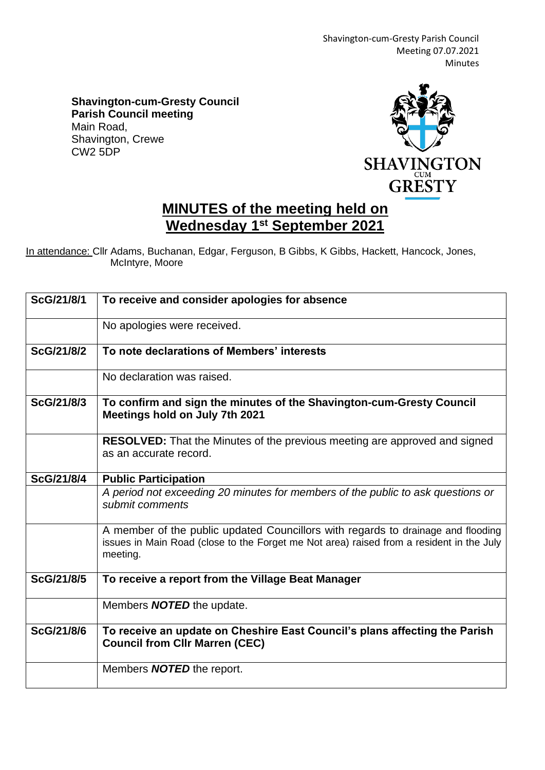Shavington-cum-Gresty Parish Council Meeting 07.07.2021 Minutes

**Shavington-cum-Gresty Council Parish Council meeting** Main Road, Shavington, Crewe CW2 5DP



## **MINUTES of the meeting held on Wednesday 1 st September 2021**

In attendance: Cllr Adams, Buchanan, Edgar, Ferguson, B Gibbs, K Gibbs, Hackett, Hancock, Jones, McIntyre, Moore

| ScG/21/8/1 | To receive and consider apologies for absence                                                                                                                                            |
|------------|------------------------------------------------------------------------------------------------------------------------------------------------------------------------------------------|
|            | No apologies were received.                                                                                                                                                              |
| ScG/21/8/2 | To note declarations of Members' interests                                                                                                                                               |
|            | No declaration was raised.                                                                                                                                                               |
| ScG/21/8/3 | To confirm and sign the minutes of the Shavington-cum-Gresty Council<br>Meetings hold on July 7th 2021                                                                                   |
|            | <b>RESOLVED:</b> That the Minutes of the previous meeting are approved and signed<br>as an accurate record.                                                                              |
| ScG/21/8/4 | <b>Public Participation</b>                                                                                                                                                              |
|            | A period not exceeding 20 minutes for members of the public to ask questions or<br>submit comments                                                                                       |
|            | A member of the public updated Councillors with regards to drainage and flooding<br>issues in Main Road (close to the Forget me Not area) raised from a resident in the July<br>meeting. |
| ScG/21/8/5 | To receive a report from the Village Beat Manager                                                                                                                                        |
|            | Members <b>NOTED</b> the update.                                                                                                                                                         |
| ScG/21/8/6 | To receive an update on Cheshire East Council's plans affecting the Parish<br><b>Council from Cllr Marren (CEC)</b>                                                                      |
|            | Members <b>NOTED</b> the report.                                                                                                                                                         |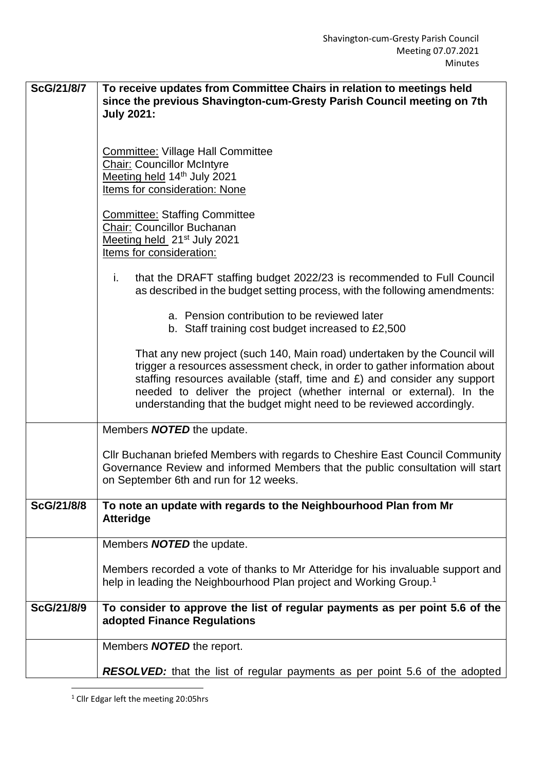| ScG/21/8/7 | To receive updates from Committee Chairs in relation to meetings held<br>since the previous Shavington-cum-Gresty Parish Council meeting on 7th                                                                                                                                                                                                                                      |
|------------|--------------------------------------------------------------------------------------------------------------------------------------------------------------------------------------------------------------------------------------------------------------------------------------------------------------------------------------------------------------------------------------|
|            | <b>July 2021:</b>                                                                                                                                                                                                                                                                                                                                                                    |
|            |                                                                                                                                                                                                                                                                                                                                                                                      |
|            | <b>Committee: Village Hall Committee</b><br><b>Chair: Councillor McIntyre</b>                                                                                                                                                                                                                                                                                                        |
|            | Meeting held 14 <sup>th</sup> July 2021                                                                                                                                                                                                                                                                                                                                              |
|            | <b>Items for consideration: None</b>                                                                                                                                                                                                                                                                                                                                                 |
|            | <b>Committee: Staffing Committee</b><br>Chair: Councillor Buchanan                                                                                                                                                                                                                                                                                                                   |
|            | Meeting held 21 <sup>st</sup> July 2021                                                                                                                                                                                                                                                                                                                                              |
|            | Items for consideration:                                                                                                                                                                                                                                                                                                                                                             |
|            | that the DRAFT staffing budget 2022/23 is recommended to Full Council<br>i.<br>as described in the budget setting process, with the following amendments:                                                                                                                                                                                                                            |
|            | a. Pension contribution to be reviewed later<br>b. Staff training cost budget increased to £2,500                                                                                                                                                                                                                                                                                    |
|            | That any new project (such 140, Main road) undertaken by the Council will<br>trigger a resources assessment check, in order to gather information about<br>staffing resources available (staff, time and £) and consider any support<br>needed to deliver the project (whether internal or external). In the<br>understanding that the budget might need to be reviewed accordingly. |
|            | Members <b>NOTED</b> the update.                                                                                                                                                                                                                                                                                                                                                     |
|            | Cllr Buchanan briefed Members with regards to Cheshire East Council Community<br>Governance Review and informed Members that the public consultation will start<br>on September 6th and run for 12 weeks.                                                                                                                                                                            |
| ScG/21/8/8 | To note an update with regards to the Neighbourhood Plan from Mr<br><b>Atteridge</b>                                                                                                                                                                                                                                                                                                 |
|            | Members <b>NOTED</b> the update.                                                                                                                                                                                                                                                                                                                                                     |
|            | Members recorded a vote of thanks to Mr Atteridge for his invaluable support and<br>help in leading the Neighbourhood Plan project and Working Group. <sup>1</sup>                                                                                                                                                                                                                   |
| ScG/21/8/9 | To consider to approve the list of regular payments as per point 5.6 of the<br>adopted Finance Regulations                                                                                                                                                                                                                                                                           |
|            | Members <b>NOTED</b> the report.                                                                                                                                                                                                                                                                                                                                                     |
|            | <b>RESOLVED:</b> that the list of regular payments as per point 5.6 of the adopted                                                                                                                                                                                                                                                                                                   |

<sup>1</sup> Cllr Edgar left the meeting 20:05hrs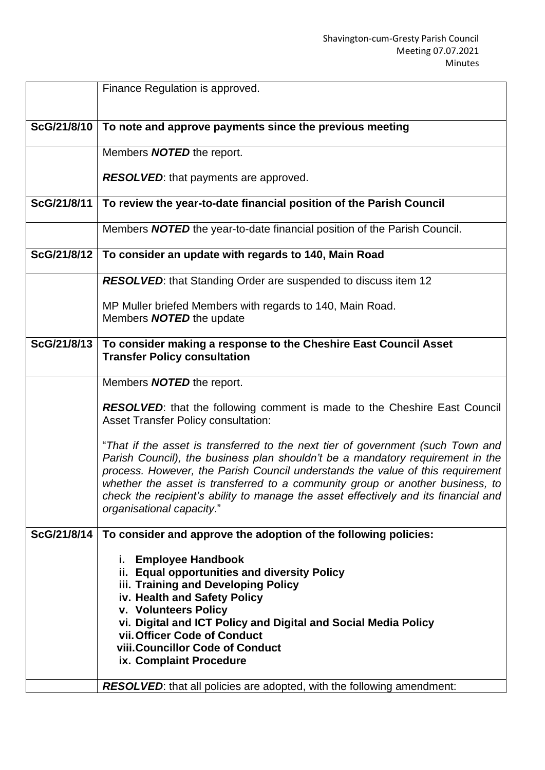|             | Finance Regulation is approved.                                                                                                                                                                                                                                                                                                                                                                                                                          |
|-------------|----------------------------------------------------------------------------------------------------------------------------------------------------------------------------------------------------------------------------------------------------------------------------------------------------------------------------------------------------------------------------------------------------------------------------------------------------------|
| ScG/21/8/10 | To note and approve payments since the previous meeting                                                                                                                                                                                                                                                                                                                                                                                                  |
|             | Members <b>NOTED</b> the report.                                                                                                                                                                                                                                                                                                                                                                                                                         |
|             | <b>RESOLVED:</b> that payments are approved.                                                                                                                                                                                                                                                                                                                                                                                                             |
| ScG/21/8/11 | To review the year-to-date financial position of the Parish Council                                                                                                                                                                                                                                                                                                                                                                                      |
|             | Members <b>NOTED</b> the year-to-date financial position of the Parish Council.                                                                                                                                                                                                                                                                                                                                                                          |
| ScG/21/8/12 | To consider an update with regards to 140, Main Road                                                                                                                                                                                                                                                                                                                                                                                                     |
|             | <b>RESOLVED:</b> that Standing Order are suspended to discuss item 12                                                                                                                                                                                                                                                                                                                                                                                    |
|             | MP Muller briefed Members with regards to 140, Main Road.<br>Members <b>NOTED</b> the update                                                                                                                                                                                                                                                                                                                                                             |
| ScG/21/8/13 | To consider making a response to the Cheshire East Council Asset                                                                                                                                                                                                                                                                                                                                                                                         |
|             | <b>Transfer Policy consultation</b>                                                                                                                                                                                                                                                                                                                                                                                                                      |
|             | Members <b>NOTED</b> the report.                                                                                                                                                                                                                                                                                                                                                                                                                         |
|             | RESOLVED: that the following comment is made to the Cheshire East Council<br><b>Asset Transfer Policy consultation:</b>                                                                                                                                                                                                                                                                                                                                  |
|             | "That if the asset is transferred to the next tier of government (such Town and<br>Parish Council), the business plan shouldn't be a mandatory requirement in the<br>process. However, the Parish Council understands the value of this requirement<br>whether the asset is transferred to a community group or another business, to<br>check the recipient's ability to manage the asset effectively and its financial and<br>organisational capacity." |
| ScG/21/8/14 | To consider and approve the adoption of the following policies:                                                                                                                                                                                                                                                                                                                                                                                          |
|             | i. Employee Handbook<br>ii. Equal opportunities and diversity Policy<br>iii. Training and Developing Policy<br>iv. Health and Safety Policy<br>v. Volunteers Policy<br>vi. Digital and ICT Policy and Digital and Social Media Policy<br>vii. Officer Code of Conduct<br>viii. Councillor Code of Conduct<br>ix. Complaint Procedure                                                                                                                     |
|             | <b>RESOLVED:</b> that all policies are adopted, with the following amendment:                                                                                                                                                                                                                                                                                                                                                                            |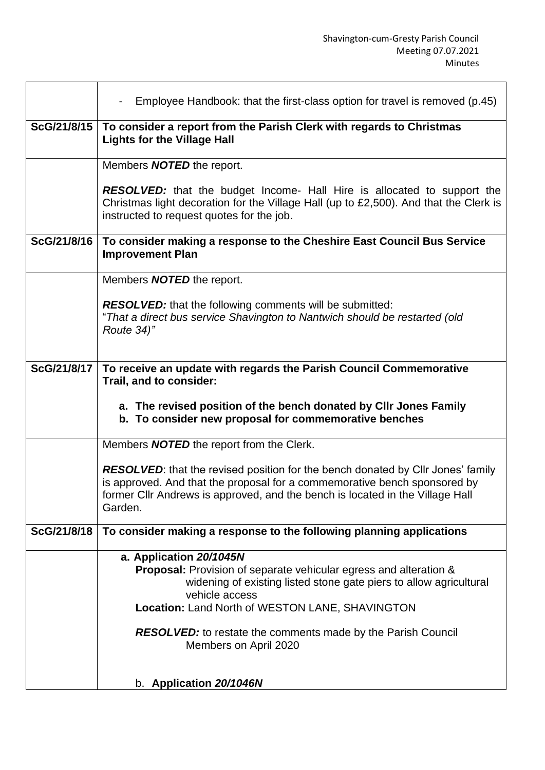$\overline{\phantom{a}}$ 

|             | Employee Handbook: that the first-class option for travel is removed (p.45)<br>$\blacksquare$                                                                                                                                                                                                                                           |
|-------------|-----------------------------------------------------------------------------------------------------------------------------------------------------------------------------------------------------------------------------------------------------------------------------------------------------------------------------------------|
| ScG/21/8/15 | To consider a report from the Parish Clerk with regards to Christmas<br><b>Lights for the Village Hall</b>                                                                                                                                                                                                                              |
|             | Members <b>NOTED</b> the report.                                                                                                                                                                                                                                                                                                        |
|             | <b>RESOLVED:</b> that the budget Income- Hall Hire is allocated to support the<br>Christmas light decoration for the Village Hall (up to £2,500). And that the Clerk is<br>instructed to request quotes for the job.                                                                                                                    |
| ScG/21/8/16 | To consider making a response to the Cheshire East Council Bus Service<br><b>Improvement Plan</b>                                                                                                                                                                                                                                       |
|             | Members <b>NOTED</b> the report.                                                                                                                                                                                                                                                                                                        |
|             | <b>RESOLVED:</b> that the following comments will be submitted:<br>"That a direct bus service Shavington to Nantwich should be restarted (old<br>Route 34)"                                                                                                                                                                             |
| ScG/21/8/17 | To receive an update with regards the Parish Council Commemorative<br>Trail, and to consider:                                                                                                                                                                                                                                           |
|             | a. The revised position of the bench donated by Cllr Jones Family<br>b. To consider new proposal for commemorative benches                                                                                                                                                                                                              |
|             | Members <b>NOTED</b> the report from the Clerk.                                                                                                                                                                                                                                                                                         |
|             | <b>RESOLVED:</b> that the revised position for the bench donated by Cllr Jones' family<br>is approved. And that the proposal for a commemorative bench sponsored by<br>former CIIr Andrews is approved, and the bench is located in the Village Hall<br>Garden.                                                                         |
| ScG/21/8/18 | To consider making a response to the following planning applications                                                                                                                                                                                                                                                                    |
|             | a. Application 20/1045N<br>Proposal: Provision of separate vehicular egress and alteration &<br>widening of existing listed stone gate piers to allow agricultural<br>vehicle access<br>Location: Land North of WESTON LANE, SHAVINGTON<br><b>RESOLVED:</b> to restate the comments made by the Parish Council<br>Members on April 2020 |
|             | b. Application 20/1046N                                                                                                                                                                                                                                                                                                                 |

 $\mathsf{r}$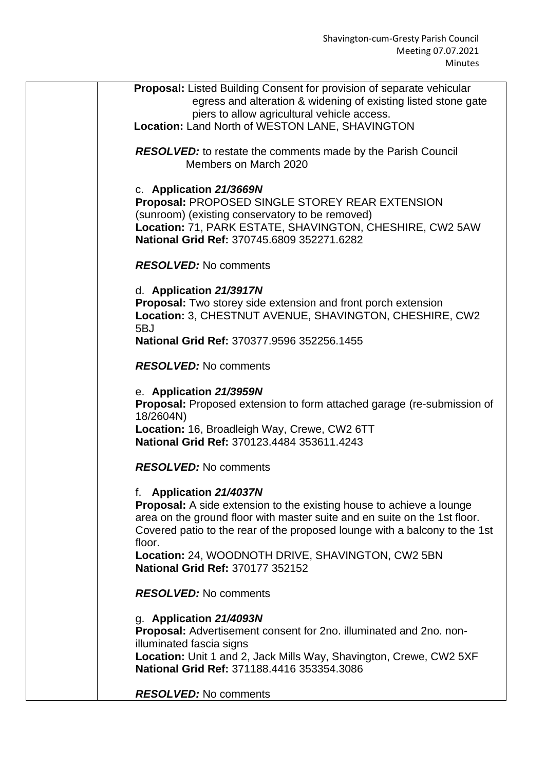| <b>Proposal:</b> Listed Building Consent for provision of separate vehicular                              |
|-----------------------------------------------------------------------------------------------------------|
| egress and alteration & widening of existing listed stone gate                                            |
| piers to allow agricultural vehicle access.                                                               |
| Location: Land North of WESTON LANE, SHAVINGTON                                                           |
| <b>RESOLVED:</b> to restate the comments made by the Parish Council                                       |
| Members on March 2020                                                                                     |
|                                                                                                           |
| c. Application 21/3669N                                                                                   |
| <b>Proposal: PROPOSED SINGLE STOREY REAR EXTENSION</b><br>(sunroom) (existing conservatory to be removed) |
| Location: 71, PARK ESTATE, SHAVINGTON, CHESHIRE, CW2 5AW                                                  |
| National Grid Ref: 370745.6809 352271.6282                                                                |
|                                                                                                           |
| <b>RESOLVED:</b> No comments                                                                              |
| d. Application 21/3917N                                                                                   |
| <b>Proposal:</b> Two storey side extension and front porch extension                                      |
| Location: 3, CHESTNUT AVENUE, SHAVINGTON, CHESHIRE, CW2                                                   |
| 5BJ                                                                                                       |
| National Grid Ref: 370377.9596 352256.1455                                                                |
| <b>RESOLVED:</b> No comments                                                                              |
| e. Application 21/3959N                                                                                   |
| Proposal: Proposed extension to form attached garage (re-submission of                                    |
| 18/2604N)                                                                                                 |
| Location: 16, Broadleigh Way, Crewe, CW2 6TT<br>National Grid Ref: 370123.4484 353611.4243                |
|                                                                                                           |
| <b>RESOLVED:</b> No comments                                                                              |
| f. Application 21/4037N                                                                                   |
| <b>Proposal:</b> A side extension to the existing house to achieve a lounge                               |
| area on the ground floor with master suite and en suite on the 1st floor.                                 |
| Covered patio to the rear of the proposed lounge with a balcony to the 1st<br>floor.                      |
| Location: 24, WOODNOTH DRIVE, SHAVINGTON, CW2 5BN                                                         |
| National Grid Ref: 370177 352152                                                                          |
| <b>RESOLVED:</b> No comments                                                                              |
| g. Application 21/4093N                                                                                   |
| Proposal: Advertisement consent for 2no. illuminated and 2no. non-                                        |
| illuminated fascia signs                                                                                  |
| Location: Unit 1 and 2, Jack Mills Way, Shavington, Crewe, CW2 5XF                                        |
| National Grid Ref: 371188.4416 353354.3086                                                                |
| <b>RESOLVED:</b> No comments                                                                              |
|                                                                                                           |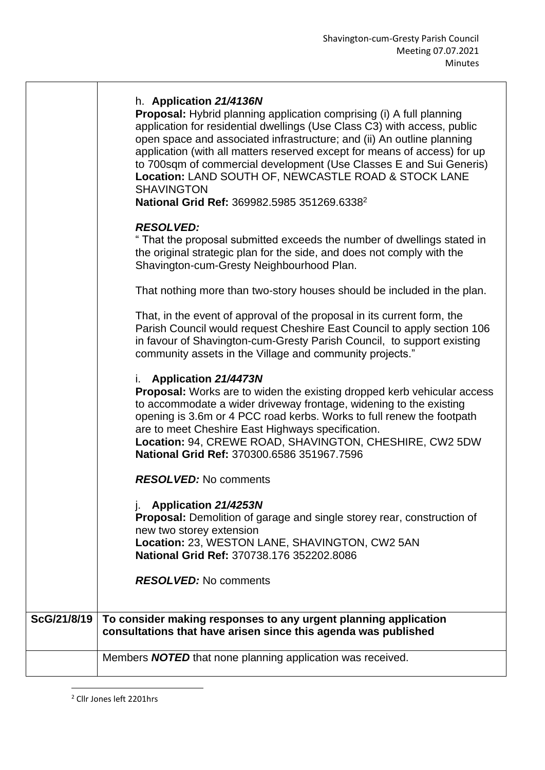|             | h. Application 21/4136N<br><b>Proposal:</b> Hybrid planning application comprising (i) A full planning<br>application for residential dwellings (Use Class C3) with access, public<br>open space and associated infrastructure; and (ii) An outline planning<br>application (with all matters reserved except for means of access) for up<br>to 700sqm of commercial development (Use Classes E and Sui Generis)<br>Location: LAND SOUTH OF, NEWCASTLE ROAD & STOCK LANE<br><b>SHAVINGTON</b><br>National Grid Ref: 369982.5985 351269.6338 <sup>2</sup> |
|-------------|----------------------------------------------------------------------------------------------------------------------------------------------------------------------------------------------------------------------------------------------------------------------------------------------------------------------------------------------------------------------------------------------------------------------------------------------------------------------------------------------------------------------------------------------------------|
|             | <b>RESOLVED:</b><br>" That the proposal submitted exceeds the number of dwellings stated in<br>the original strategic plan for the side, and does not comply with the<br>Shavington-cum-Gresty Neighbourhood Plan.                                                                                                                                                                                                                                                                                                                                       |
|             | That nothing more than two-story houses should be included in the plan.                                                                                                                                                                                                                                                                                                                                                                                                                                                                                  |
|             | That, in the event of approval of the proposal in its current form, the<br>Parish Council would request Cheshire East Council to apply section 106<br>in favour of Shavington-cum-Gresty Parish Council, to support existing<br>community assets in the Village and community projects."                                                                                                                                                                                                                                                                 |
|             | i. Application 21/4473N<br><b>Proposal:</b> Works are to widen the existing dropped kerb vehicular access<br>to accommodate a wider driveway frontage, widening to the existing<br>opening is 3.6m or 4 PCC road kerbs. Works to full renew the footpath<br>are to meet Cheshire East Highways specification.<br>Location: 94, CREWE ROAD, SHAVINGTON, CHESHIRE, CW2 5DW<br>National Grid Ref: 370300.6586 351967.7596                                                                                                                                   |
|             | <b>RESOLVED:</b> No comments                                                                                                                                                                                                                                                                                                                                                                                                                                                                                                                             |
|             | <b>Application 21/4253N</b><br>Proposal: Demolition of garage and single storey rear, construction of<br>new two storey extension<br>Location: 23, WESTON LANE, SHAVINGTON, CW2 5AN<br>National Grid Ref: 370738.176 352202.8086                                                                                                                                                                                                                                                                                                                         |
|             | <b>RESOLVED:</b> No comments                                                                                                                                                                                                                                                                                                                                                                                                                                                                                                                             |
| ScG/21/8/19 | To consider making responses to any urgent planning application<br>consultations that have arisen since this agenda was published                                                                                                                                                                                                                                                                                                                                                                                                                        |
|             | Members <b>NOTED</b> that none planning application was received.                                                                                                                                                                                                                                                                                                                                                                                                                                                                                        |
|             |                                                                                                                                                                                                                                                                                                                                                                                                                                                                                                                                                          |

<sup>2</sup> Cllr Jones left 2201hrs